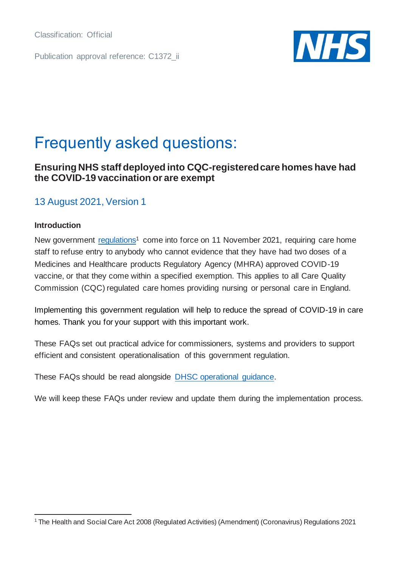Classification: Official

Publication approval reference: C1372\_ii



# Frequently asked questions:

# **Ensuring NHS staff deployed into CQC-registered care homes have had the COVID-19 vaccination or are exempt**

# 13 August 2021, Version 1

### **Introduction**

New government [regulations](https://www.legislation.gov.uk/ukdsi/2021/9780348224993?view=plain)<sup>1</sup> come into force on 11 November 2021, requiring care home staff to refuse entry to anybody who cannot evidence that they have had two doses of a Medicines and Healthcare products Regulatory Agency (MHRA) approved COVID-19 vaccine, or that they come within a specified exemption. This applies to all Care Quality Commission (CQC) regulated care homes providing nursing or personal care in England.

Implementing this government regulation will help to reduce the spread of COVID-19 in care homes. Thank you for your support with this important work.

These FAQs set out practical advice for commissioners, systems and providers to support efficient and consistent operationalisation of this government regulation.

These FAQs should be read alongside [DHSC operational guidance.](https://www.gov.uk/government/publications/vaccination-of-people-working-or-deployed-in-care-homes-operational-guidance)

We will keep these FAQs under review and update them during the implementation process.

<sup>1</sup> The Health and Social Care Act 2008 (Regulated Activities) (Amendment) (Coronavirus) Regulations 2021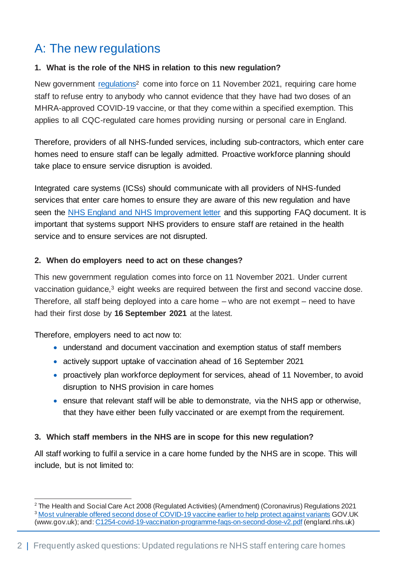# A: The new regulations

# **1. What is the role of the NHS in relation to this new regulation?**

New government [regulations](https://www.legislation.gov.uk/ukdsi/2021/9780348224993?view=plain)<sup>2</sup> come into force on 11 November 2021, requiring care home staff to refuse entry to anybody who cannot evidence that they have had two doses of an MHRA-approved COVID-19 vaccine, or that they come within a specified exemption. This applies to all CQC-regulated care homes providing nursing or personal care in England.

Therefore, providers of all NHS-funded services, including sub-contractors, which enter care homes need to ensure staff can be legally admitted. Proactive workforce planning should take place to ensure service disruption is avoided.

Integrated care systems (ICSs) should communicate with all providers of NHS-funded services that enter care homes to ensure they are aware of this new regulation and have seen the [NHS England and NHS Improvement letter](https://www.england.nhs.uk/coronavirus/publication/vaccinations-for-nhs-staff-entering-care-homes/) and this supporting FAQ document. It is important that systems support NHS providers to ensure staff are retained in the health service and to ensure services are not disrupted.

## **2. When do employers need to act on these changes?**

This new government regulation comes into force on 11 November 2021. Under current vaccination guidance,<sup>3</sup> eight weeks are required between the first and second vaccine dose. Therefore, all staff being deployed into a care home – who are not exempt – need to have had their first dose by **16 September 2021** at the latest.

Therefore, employers need to act now to:

- understand and document vaccination and exemption status of staff members
- actively support uptake of vaccination ahead of 16 September 2021
- proactively plan workforce deployment for services, ahead of 11 November, to avoid disruption to NHS provision in care homes
- ensure that relevant staff will be able to demonstrate, via the NHS app or otherwise, that they have either been fully vaccinated or are exempt from the requirement.

# **3. Which staff members in the NHS are in scope for this new regulation?**

All staff working to fulfil a service in a care home funded by the NHS are in scope. This will include, but is not limited to:

<sup>&</sup>lt;sup>2</sup> The Health and Social Care Act 2008 (Regulated Activities) (Amendment) (Coronavirus) Regulations 2021 <sup>3</sup> [Most vulnerable offered second dose of COVID-19 vaccine earlier to help protect against variants](https://www.gov.uk/government/news/most-vulnerable-offered-second-dose-of-covid-19-vaccine-earlier-to-help-protect-against-variants) GOV.UK (www.gov.uk); and[: C1254-covid-19-vaccination-programme-faqs-on-second-dose-v2.pdf](https://www.england.nhs.uk/coronavirus/wp-content/uploads/sites/52/2021/03/C1254-covid-19-vaccination-programme-faqs-on-second-dose-v2.pdf) (england.nhs.uk)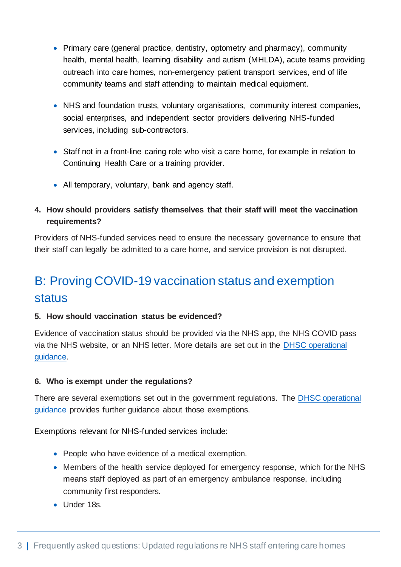- Primary care (general practice, dentistry, optometry and pharmacy), community health, mental health, learning disability and autism (MHLDA), acute teams providing outreach into care homes, non-emergency patient transport services, end of life community teams and staff attending to maintain medical equipment.
- NHS and foundation trusts, voluntary organisations, community interest companies, social enterprises, and independent sector providers delivering NHS-funded services, including sub-contractors.
- Staff not in a front-line caring role who visit a care home, for example in relation to Continuing Health Care or a training provider.
- All temporary, voluntary, bank and agency staff.
- **4. How should providers satisfy themselves that their staff will meet the vaccination requirements?**

Providers of NHS-funded services need to ensure the necessary governance to ensure that their staff can legally be admitted to a care home, and service provision is not disrupted.

# B: Proving COVID-19 vaccination status and exemption status

### **5. How should vaccination status be evidenced?**

Evidence of vaccination status should be provided via the NHS app, the NHS COVID pass via the NHS website, or an NHS letter. More details are set out in the [DHSC operational](https://www.gov.uk/government/publications/vaccination-of-people-working-or-deployed-in-care-homes-operational-guidance)  [guidance.](https://www.gov.uk/government/publications/vaccination-of-people-working-or-deployed-in-care-homes-operational-guidance)

### **6. Who is exempt under the regulations?**

There are several exemptions set out in the government regulations. The [DHSC operational](https://www.gov.uk/government/publications/vaccination-of-people-working-or-deployed-in-care-homes-operational-guidance)  [guidance](https://www.gov.uk/government/publications/vaccination-of-people-working-or-deployed-in-care-homes-operational-guidance) provides further guidance about those exemptions.

Exemptions relevant for NHS-funded services include:

- People who have evidence of a medical exemption.
- Members of the health service deployed for emergency response, which for the NHS means staff deployed as part of an emergency ambulance response, including community first responders.
- Under 18s.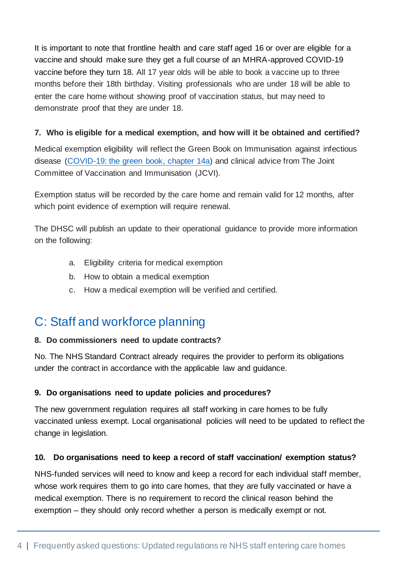It is important to note that frontline health and care staff aged 16 or over are eligible for a vaccine and should make sure they get a full course of an MHRA-approved COVID-19 vaccine before they turn 18. All 17 year olds will be able to book a vaccine up to three months before their 18th birthday. Visiting professionals who are under 18 will be able to enter the care home without showing proof of vaccination status, but may need to demonstrate proof that they are under 18.

### **7. Who is eligible for a medical exemption, and how will it be obtained and certified?**

Medical exemption eligibility will reflect the Green Book on Immunisation against infectious disease [\(COVID-19: the green book, chapter 14a\)](https://www.gov.uk/government/publications/covid-19-the-green-book-chapter-14a) and clinical advice from The Joint Committee of Vaccination and Immunisation (JCVI).

Exemption status will be recorded by the care home and remain valid for 12 months, after which point evidence of exemption will require renewal.

The DHSC will publish an update to their operational guidance to provide more information on the following:

- a. Eligibility criteria for medical exemption
- b. How to obtain a medical exemption
- c. How a medical exemption will be verified and certified.

# C: Staff and workforce planning

### **8. Do commissioners need to update contracts?**

No. The NHS Standard Contract already requires the provider to perform its obligations under the contract in accordance with the applicable law and guidance.

# **9. Do organisations need to update policies and procedures?**

The new government regulation requires all staff working in care homes to be fully vaccinated unless exempt. Local organisational policies will need to be updated to reflect the change in legislation.

### **10. Do organisations need to keep a record of staff vaccination/ exemption status?**

NHS-funded services will need to know and keep a record for each individual staff member, whose work requires them to go into care homes, that they are fully vaccinated or have a medical exemption. There is no requirement to record the clinical reason behind the exemption – they should only record whether a person is medically exempt or not.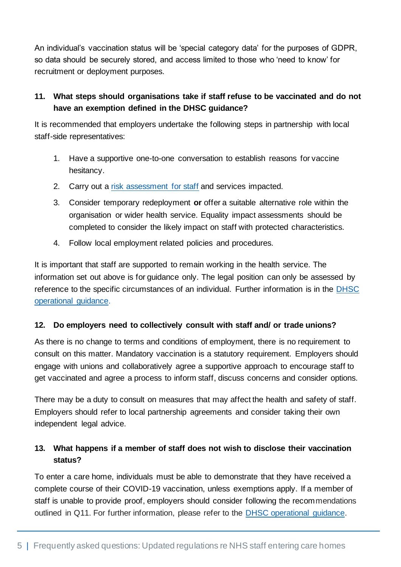An individual's vaccination status will be 'special category data' for the purposes of GDPR, so data should be securely stored, and access limited to those who 'need to know' for recruitment or deployment purposes.

# **11. What steps should organisations take if staff refuse to be vaccinated and do not have an exemption defined in the DHSC guidance?**

It is recommended that employers undertake the following steps in partnership with local staff-side representatives:

- 1. Have a supportive one-to-one conversation to establish reasons for vaccine hesitancy.
- 2. Carry out a [risk assessment for staff](https://www.nhsemployers.org/articles/risk-assessments-staff) and services impacted.
- 3. Consider temporary redeployment **or** offer a suitable alternative role within the organisation or wider health service. Equality impact assessments should be completed to consider the likely impact on staff with protected characteristics.
- 4. Follow local employment related policies and procedures.

It is important that staff are supported to remain working in the health service. The information set out above is for guidance only. The legal position can only be assessed by reference to the specific circumstances of an individual. Further information is in the [DHSC](https://assets.publishing.service.gov.uk/government/uploads/system/uploads/attachment_data/file/1008550/coronavirus-covid-19-vaccination-of-people-working-or-deployed-in-care-homes-operational-guidance.pdf)  [operational guidance.](https://assets.publishing.service.gov.uk/government/uploads/system/uploads/attachment_data/file/1008550/coronavirus-covid-19-vaccination-of-people-working-or-deployed-in-care-homes-operational-guidance.pdf)

### **12. Do employers need to collectively consult with staff and/ or trade unions?**

As there is no change to terms and conditions of employment, there is no requirement to consult on this matter. Mandatory vaccination is a statutory requirement. Employers should engage with unions and collaboratively agree a supportive approach to encourage staff to get vaccinated and agree a process to inform staff, discuss concerns and consider options.

There may be a duty to consult on measures that may affect the health and safety of staff. Employers should refer to local partnership agreements and consider taking their own independent legal advice.

# **13. What happens if a member of staff does not wish to disclose their vaccination status?**

To enter a care home, individuals must be able to demonstrate that they have received a complete course of their COVID-19 vaccination, unless exemptions apply. If a member of staff is unable to provide proof, employers should consider following the recommendations outlined in Q11. For further information, please refer to the [DHSC operational guidance.](https://assets.publishing.service.gov.uk/government/uploads/system/uploads/attachment_data/file/1010601/coronavirus-covid-19-vaccination-of-people-working-or-deployed-in-care-homes-operational-guidance.pdf)